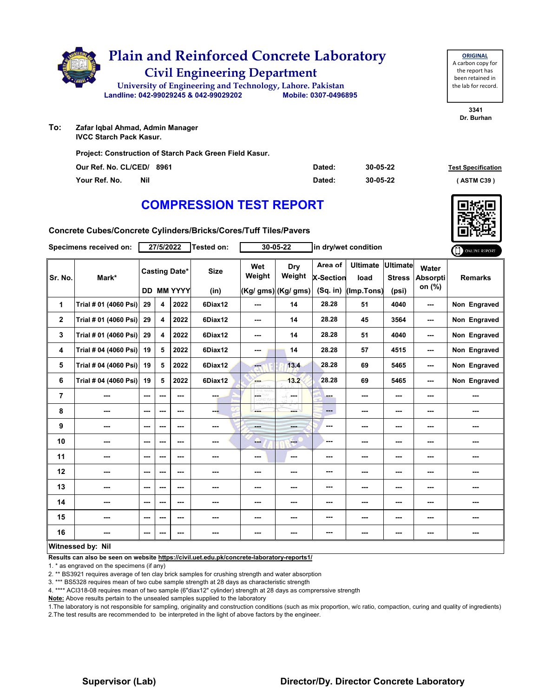

**To: Zafar Iqbal Ahmad, Admin Manager IVCC Starch Pack Kasur.**

**Project: Construction of Starch Pack Green Field Kasur.**

| Our Ref. No. CL/CED/ 8961 |            | Dated: | 30-05-22 | <b>Test Specification</b> |
|---------------------------|------------|--------|----------|---------------------------|
| Your Ref. No.             | <b>Nil</b> | Dated: | 30-05-22 | (ASTM C39)                |

**3341 Dr. Burhan**

**ORIGINAL** A carbon copy for the report has been retained in the lab for record.

# **COMPRESSION TEST REPORT**

**Concrete Cubes/Concrete Cylinders/Bricks/Cores/Tuff Tiles/Pavers**

| 27/5/2022<br>Specimens received on: |                       |                          | Tested on:              |                           | 30-05-22        |               | in dry/wet condition      |                             |                         | ONLINE REPORT                    |                                    |                |
|-------------------------------------|-----------------------|--------------------------|-------------------------|---------------------------|-----------------|---------------|---------------------------|-----------------------------|-------------------------|----------------------------------|------------------------------------|----------------|
| Sr. No.                             | Mark*                 |                          |                         | <b>Casting Date*</b>      | <b>Size</b>     | Wet<br>Weight | Dry<br>Weight             | Area of<br><b>X-Section</b> | <b>Ultimate</b><br>load | <b>Ultimate</b><br><b>Stress</b> | Water<br><b>Absorpti</b><br>on (%) | <b>Remarks</b> |
| 1                                   | Trial # 01 (4060 Psi) | 29                       | 4                       | <b>DD MM YYYY</b><br>2022 | (in)<br>6Diax12 | ---           | (Kg/ gms) (Kg/ gms)<br>14 | $(Sq.$ in)<br>28.28         | (Imp.Tons)<br>51        | (psi)<br>4040                    | ---                                | Non Engraved   |
| $\mathbf{2}$                        | Trial # 01 (4060 Psi) | 29                       | $\overline{\mathbf{4}}$ | 2022                      | 6Diax12         | ---           | 14                        | 28.28                       | 45                      | 3564                             | ---                                | Non Engraved   |
| 3                                   | Trial # 01 (4060 Psi) | 29                       | $\overline{\mathbf{4}}$ | 2022                      | 6Diax12         | ---           | 14                        | 28.28                       | 51                      | 4040                             | ---                                | Non Engraved   |
| 4                                   | Trial # 04 (4060 Psi) | 19                       | 5                       | 2022                      | 6Diax12         | ---           | 14                        | 28.28                       | 57                      | 4515                             | ---                                | Non Engraved   |
| 5                                   | Trial # 04 (4060 Psi) | 19                       | 5                       | 2022                      | 6Diax12         | m.            | 13.4                      | 28.28                       | 69                      | 5465                             | ---                                | Non Engraved   |
| 6                                   | Trial # 04 (4060 Psi) | 19                       | 5                       | 2022                      | 6Diax12         | ---           | 13.2                      | 28.28                       | 69                      | 5465                             | ---                                | Non Engraved   |
| $\overline{7}$                      | ---                   | $-$                      | ---                     | ---                       | ---             | LGET          | SS.<br>and a              | ---                         | ---                     | ---                              | ---                                | ---            |
| 8                                   | ---                   | $--$                     | ---                     | ---                       | ---             | ---           | ---                       | ---                         | ---                     | ---                              | ---                                | ---            |
| 9                                   | ---                   | $\overline{\phantom{a}}$ | ---                     | ---                       | ---             | ---           | ---                       | ---                         | ---                     | ---                              | ---                                | ---            |
| 10                                  | ---                   | ---                      | ---                     | ---                       | ---             | ---           | $-1$                      | ---                         | ---                     | ---                              | ---                                | ---            |
| 11                                  | ---                   | ---                      | ---                     | ---                       | ---             | ---           | ---                       | ---                         | ---                     | ---                              | ---                                | ---            |
| 12                                  | ---                   | $--$                     | ---                     | ---                       | ---             | ---           | ---                       | ---                         | ---                     | ---                              | ---                                |                |
| 13                                  | ---                   | ---                      | ---                     | ---                       | ---             | ---           | ---                       | ---                         | ---                     | ---                              | ---                                | ---            |
| 14                                  | ---                   | $\sim$ $\sim$            | ---                     | ---                       | ---             | ---           | ---                       | ---                         | ---                     | ---                              | ---                                | ---            |
| 15                                  | ---                   | $--$                     | ---                     | ---                       | ---             | ---           | ---                       | ---                         | ---                     | ---                              | ---                                | ---            |
| 16                                  | ---                   | ---                      | ---                     | ---                       | ---             | ---           | ---                       | ---                         | ---                     | ---                              | ---                                | ---            |
|                                     | Witnessed by: Nil     |                          |                         |                           |                 |               |                           |                             |                         |                                  |                                    |                |

**Results can also be seen on website https://civil.uet.edu.pk/concrete-laboratory-reports1/**

1. \* as engraved on the specimens (if any)

2. \*\* BS3921 requires average of ten clay brick samples for crushing strength and water absorption

3. \*\*\* BS5328 requires mean of two cube sample strength at 28 days as characteristic strength

4. \*\*\*\* ACI318-08 requires mean of two sample (6"diax12" cylinder) strength at 28 days as comprerssive strength

**Note:** Above results pertain to the unsealed samples supplied to the laboratory

1.The laboratory is not responsible for sampling, originality and construction conditions (such as mix proportion, w/c ratio, compaction, curing and quality of ingredients) 2.The test results are recommended to be interpreted in the light of above factors by the engineer.

#### **Supervisor (Lab) Director/Dy. Director Concrete Laboratory**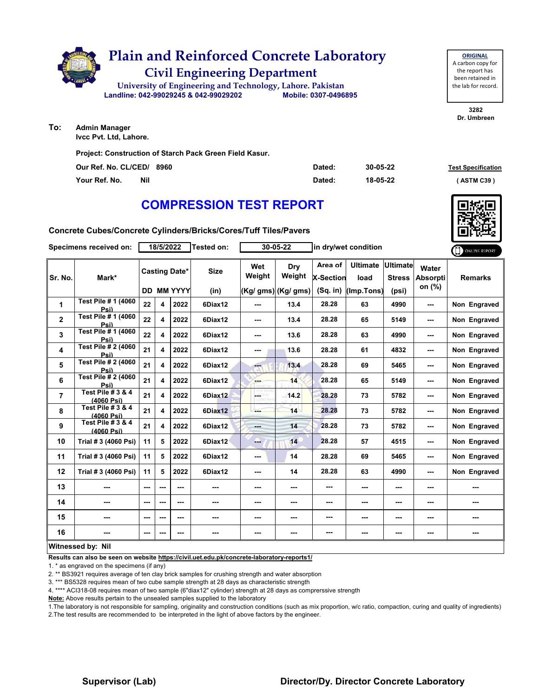

**To: Admin Manager**

**Ivcc Pvt. Ltd, Lahore.**

**Project: Construction of Starch Pack Green Field Kasur.**

| Our Ref. No. CL/CED/ 8960 | Dated: | 30-05-22 | <b>Test Specification</b> |
|---------------------------|--------|----------|---------------------------|
| Your Ref. No.<br>Nil      | Dated: | 18-05-22 | (ASTM C39)                |

**3282 Dr. Umbreen**

**ORIGINAL**

the report has been retained in

# **COMPRESSION TEST REPORT**

**Concrete Cubes/Concrete Cylinders/Bricks/Cores/Tuff Tiles/Pavers**

| Specimens received on: |                                            | 18/5/2022 |     |                          | <b>Tested on:</b> | 30-05-22      |                      | in dry/wet condition        |                         |                                  |                                    | ONLINE REPORT  |
|------------------------|--------------------------------------------|-----------|-----|--------------------------|-------------------|---------------|----------------------|-----------------------------|-------------------------|----------------------------------|------------------------------------|----------------|
| Sr. No.                | Mark*                                      |           |     | <b>Casting Date*</b>     | <b>Size</b>       | Wet<br>Weight | Dry<br>Weight        | Area of<br><b>X-Section</b> | <b>Ultimate</b><br>load | <b>Ultimate</b><br><b>Stress</b> | Water<br><b>Absorpti</b><br>on (%) | <b>Remarks</b> |
|                        |                                            |           |     | <b>DD MM YYYY</b>        | (in)              |               | $(Kg/gms)$ (Kg/ gms) | (Sq. in)                    | (Imp.Tons)              | (psi)                            |                                    |                |
| 1                      | Test Pile # 1 (4060<br>Psi)                | 22        | 4   | 2022                     | 6Diax12           | ---           | 13.4                 | 28.28                       | 63                      | 4990                             | ---                                | Non Engraved   |
| $\overline{2}$         | <b>Test Pile # 1 (4060)</b><br>Psi)        | 22        | 4   | 2022                     | 6Diax12           | ---           | 13.4                 | 28.28                       | 65                      | 5149                             | ---                                | Non Engraved   |
| 3                      | Test Pile # 1 (4060)<br>Psi)               | 22        | 4   | 2022                     | 6Diax12           | ---           | 13.6                 | 28.28                       | 63                      | 4990                             |                                    | Non Engraved   |
| 4                      | Test Pile # 2 (4060<br>Psi)                | 21        | 4   | 2022                     | 6Diax12           | ---           | 13.6                 | 28.28                       | 61                      | 4832                             | ---                                | Non Engraved   |
| 5                      | <b>Test Pile # 2 (4060)</b><br>Psi)        | 21        | 4   | 2022                     | 6Diax12           | --            | 13.4                 | 28.28                       | 69                      | 5465                             | ---                                | Non Engraved   |
| 6                      | Test Pile # 2 (4060<br>Psi)                | 21        | 4   | 2022                     | 6Diax12           | ---           | 14                   | 28.28                       | 65                      | 5149                             | ---                                | Non Engraved   |
| $\overline{7}$         | Test Pile # 3 & 4<br>(4060 Psi)            | 21        | 4   | 2022                     | 6Diax12           | $\omega$      | 14.2                 | 28.28                       | 73                      | 5782                             | ---                                | Non Engraved   |
| 8                      | <b>Test Pile # 3 &amp; 4</b><br>(4060 Psi) | 21        | 4   | 2022                     | 6Diax12           | ---           | 14                   | 28.28                       | 73                      | 5782                             | ---                                | Non Engraved   |
| 9                      | <b>Test Pile #3 &amp; 4</b><br>(4060 Psi)  | 21        | 4   | 2022                     | 6Diax12           | ---           | 14                   | 28.28                       | 73                      | 5782                             | ---                                | Non Engraved   |
| 10                     | Trial # 3 (4060 Psi)                       | 11        | 5   | 2022                     | 6Diax12           | ---           | 14                   | 28.28                       | 57                      | 4515                             | ---                                | Non Engraved   |
| 11                     | Trial # 3 (4060 Psi)                       | 11        | 5   | 2022                     | 6Diax12           | ---           | 14                   | 28.28                       | 69                      | 5465                             |                                    | Non Engraved   |
| 12                     | Trial # 3 (4060 Psi)                       | 11        | 5   | 2022                     | 6Diax12           | ---           | 14                   | 28.28                       | 63                      | 4990                             | ---                                | Non Engraved   |
| 13                     | ---                                        | ---       | --- | $\overline{\phantom{a}}$ | ---               | ---           |                      | ---                         | ---                     | ---                              | ---                                | ---            |
| 14                     | ---                                        | ---       | --- | $\sim$ $\sim$            | ---               | ---           | ---                  | ---                         | ---                     | ---                              | ---                                | ---            |
| 15                     | ---                                        | ---       | --- | $\overline{\phantom{a}}$ | ---               | ---           | ---                  | ---                         | ---                     | ---                              |                                    |                |
| 16                     | ---                                        | ---       | --- | ---                      | ---               | ---           | ---                  | ---                         | ---                     | ---                              | ---                                | ---            |
|                        | Witnessed by: Nil                          |           |     |                          |                   |               |                      |                             |                         |                                  |                                    |                |

**Results can also be seen on website https://civil.uet.edu.pk/concrete-laboratory-reports1/**

1. \* as engraved on the specimens (if any)

2. \*\* BS3921 requires average of ten clay brick samples for crushing strength and water absorption

3. \*\*\* BS5328 requires mean of two cube sample strength at 28 days as characteristic strength

4. \*\*\*\* ACI318-08 requires mean of two sample (6"diax12" cylinder) strength at 28 days as comprerssive strength

**Note:** Above results pertain to the unsealed samples supplied to the laboratory

1.The laboratory is not responsible for sampling, originality and construction conditions (such as mix proportion, w/c ratio, compaction, curing and quality of ingredients) 2.The test results are recommended to be interpreted in the light of above factors by the engineer.

#### **Supervisor (Lab) Director/Dy. Director Concrete Laboratory**